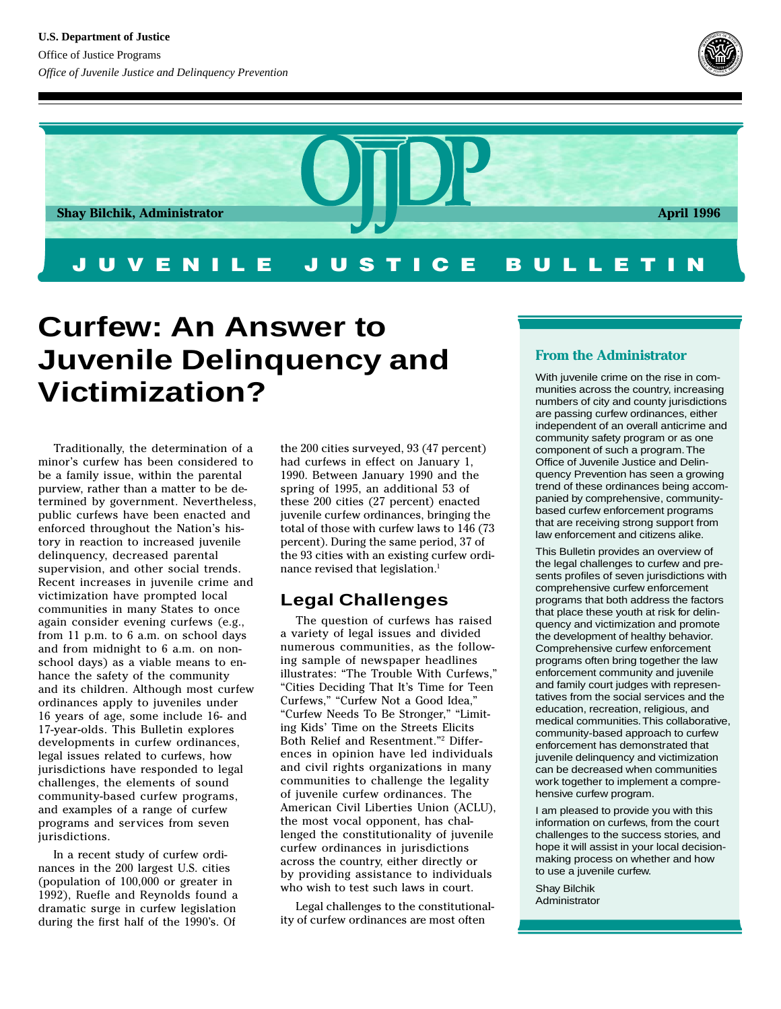



# **Curfew: An Answer to Juvenile Delinquency and Victimization?**

Traditionally, the determination of a minor's curfew has been considered to be a family issue, within the parental purview, rather than a matter to be determined by government. Nevertheless, public curfews have been enacted and enforced throughout the Nation's history in reaction to increased juvenile delinquency, decreased parental supervision, and other social trends. Recent increases in juvenile crime and victimization have prompted local communities in many States to once again consider evening curfews (e.g., from 11 p.m. to 6 a.m. on school days and from midnight to 6 a.m. on nonschool days) as a viable means to enhance the safety of the community and its children. Although most curfew ordinances apply to juveniles under 16 years of age, some include 16- and 17-year-olds. This Bulletin explores developments in curfew ordinances, legal issues related to curfews, how jurisdictions have responded to legal challenges, the elements of sound community-based curfew programs, and examples of a range of curfew programs and services from seven jurisdictions.

In a recent study of curfew ordinances in the 200 largest U.S. cities (population of 100,000 or greater in 1992), Ruefle and Reynolds found a dramatic surge in curfew legislation during the first half of the 1990's. Of

the 200 cities surveyed, 93 (47 percent) had curfews in effect on January 1, 1990. Between January 1990 and the spring of 1995, an additional 53 of these 200 cities (27 percent) enacted juvenile curfew ordinances, bringing the total of those with curfew laws to 146 (73 percent). During the same period, 37 of the 93 cities with an existing curfew ordinance revised that legislation.<sup>1</sup>

# **Legal Challenges**

The question of curfews has raised a variety of legal issues and divided numerous communities, as the following sample of newspaper headlines illustrates: "The Trouble With Curfews," "Cities Deciding That It's Time for Teen Curfews," "Curfew Not a Good Idea," "Curfew Needs To Be Stronger," "Limiting Kids' Time on the Streets Elicits Both Relief and Resentment."2 Differences in opinion have led individuals and civil rights organizations in many communities to challenge the legality of juvenile curfew ordinances. The American Civil Liberties Union (ACLU), the most vocal opponent, has challenged the constitutionality of juvenile curfew ordinances in jurisdictions across the country, either directly or by providing assistance to individuals who wish to test such laws in court.

Legal challenges to the constitutionality of curfew ordinances are most often

## **From the Administrator**

With juvenile crime on the rise in communities across the country, increasing numbers of city and county jurisdictions are passing curfew ordinances, either independent of an overall anticrime and community safety program or as one component of such a program. The Office of Juvenile Justice and Delinquency Prevention has seen a growing trend of these ordinances being accompanied by comprehensive, communitybased curfew enforcement programs that are receiving strong support from law enforcement and citizens alike.

This Bulletin provides an overview of the legal challenges to curfew and presents profiles of seven jurisdictions with comprehensive curfew enforcement programs that both address the factors that place these youth at risk for delinquency and victimization and promote the development of healthy behavior. Comprehensive curfew enforcement programs often bring together the law enforcement community and juvenile and family court judges with representatives from the social services and the education, recreation, religious, and medical communities. This collaborative, community-based approach to curfew enforcement has demonstrated that juvenile delinquency and victimization can be decreased when communities work together to implement a comprehensive curfew program.

I am pleased to provide you with this information on curfews, from the court challenges to the success stories, and hope it will assist in your local decisionmaking process on whether and how to use a juvenile curfew.

Shay Bilchik Administrator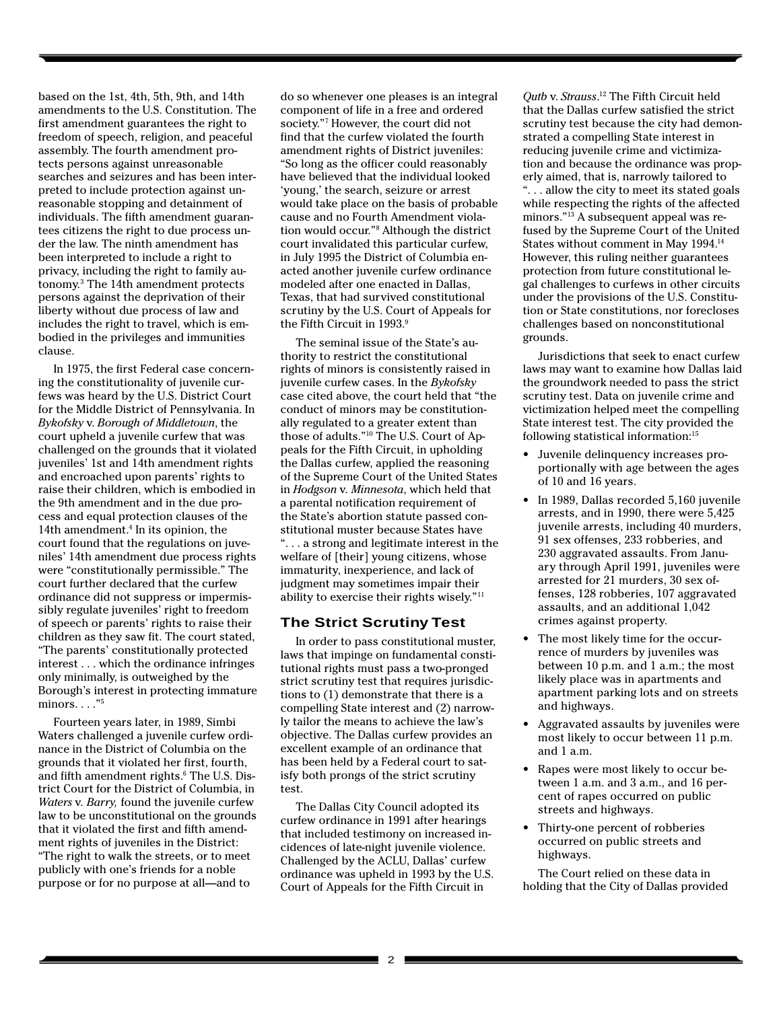based on the 1st, 4th, 5th, 9th, and 14th amendments to the U.S. Constitution. The first amendment guarantees the right to freedom of speech, religion, and peaceful assembly. The fourth amendment protects persons against unreasonable searches and seizures and has been interpreted to include protection against unreasonable stopping and detainment of individuals. The fifth amendment guarantees citizens the right to due process under the law. The ninth amendment has been interpreted to include a right to privacy, including the right to family autonomy.3 The 14th amendment protects persons against the deprivation of their liberty without due process of law and includes the right to travel, which is embodied in the privileges and immunities clause.

In 1975, the first Federal case concerning the constitutionality of juvenile curfews was heard by the U.S. District Court for the Middle District of Pennsylvania. In *Bykofsky* v. *Borough of Middletown*, the court upheld a juvenile curfew that was challenged on the grounds that it violated juveniles' 1st and 14th amendment rights and encroached upon parents' rights to raise their children, which is embodied in the 9th amendment and in the due process and equal protection clauses of the 14th amendment.4 In its opinion, the court found that the regulations on juveniles' 14th amendment due process rights were "constitutionally permissible." The court further declared that the curfew ordinance did not suppress or impermissibly regulate juveniles' right to freedom of speech or parents' rights to raise their children as they saw fit. The court stated, "The parents' constitutionally protected interest . . . which the ordinance infringes only minimally, is outweighed by the Borough's interest in protecting immature minors.  $\ldots$ ."<sup>5</sup>

Fourteen years later, in 1989, Simbi Waters challenged a juvenile curfew ordinance in the District of Columbia on the grounds that it violated her first, fourth, and fifth amendment rights.<sup>6</sup> The U.S. District Court for the District of Columbia, in *Waters* v. *Barry,* found the juvenile curfew law to be unconstitutional on the grounds that it violated the first and fifth amendment rights of juveniles in the District: "The right to walk the streets, or to meet publicly with one's friends for a noble purpose or for no purpose at all—and to

do so whenever one pleases is an integral component of life in a free and ordered society."7 However, the court did not find that the curfew violated the fourth amendment rights of District juveniles: "So long as the officer could reasonably have believed that the individual looked 'young,' the search, seizure or arrest would take place on the basis of probable cause and no Fourth Amendment violation would occur."8 Although the district court invalidated this particular curfew, in July 1995 the District of Columbia enacted another juvenile curfew ordinance modeled after one enacted in Dallas, Texas, that had survived constitutional scrutiny by the U.S. Court of Appeals for the Fifth Circuit in 1993.9

The seminal issue of the State's authority to restrict the constitutional rights of minors is consistently raised in juvenile curfew cases. In the *Bykofsky* case cited above, the court held that "the conduct of minors may be constitutionally regulated to a greater extent than those of adults."10 The U.S. Court of Appeals for the Fifth Circuit, in upholding the Dallas curfew, applied the reasoning of the Supreme Court of the United States in *Hodgson* v. *Minnesota*, which held that a parental notification requirement of the State's abortion statute passed constitutional muster because States have ". . . a strong and legitimate interest in the welfare of [their] young citizens, whose immaturity, inexperience, and lack of judgment may sometimes impair their ability to exercise their rights wisely."11

## **The Strict Scrutiny Test**

In order to pass constitutional muster, laws that impinge on fundamental constitutional rights must pass a two-pronged strict scrutiny test that requires jurisdictions to (1) demonstrate that there is a compelling State interest and (2) narrowly tailor the means to achieve the law's objective. The Dallas curfew provides an excellent example of an ordinance that has been held by a Federal court to satisfy both prongs of the strict scrutiny test.

The Dallas City Council adopted its curfew ordinance in 1991 after hearings that included testimony on increased incidences of late-night juvenile violence. Challenged by the ACLU, Dallas' curfew ordinance was upheld in 1993 by the U.S. Court of Appeals for the Fifth Circuit in

*Qutb* v. *Strauss*. 12 The Fifth Circuit held that the Dallas curfew satisfied the strict scrutiny test because the city had demonstrated a compelling State interest in reducing juvenile crime and victimization and because the ordinance was properly aimed, that is, narrowly tailored to ". . . allow the city to meet its stated goals while respecting the rights of the affected minors."13 A subsequent appeal was refused by the Supreme Court of the United States without comment in May 1994.14 However, this ruling neither guarantees protection from future constitutional legal challenges to curfews in other circuits under the provisions of the U.S. Constitution or State constitutions, nor forecloses challenges based on nonconstitutional grounds.

Jurisdictions that seek to enact curfew laws may want to examine how Dallas laid the groundwork needed to pass the strict scrutiny test. Data on juvenile crime and victimization helped meet the compelling State interest test. The city provided the following statistical information:15

- Juvenile delinquency increases proportionally with age between the ages of 10 and 16 years.
- In 1989, Dallas recorded 5,160 juvenile arrests, and in 1990, there were 5,425 juvenile arrests, including 40 murders, 91 sex offenses, 233 robberies, and 230 aggravated assaults. From January through April 1991, juveniles were arrested for 21 murders, 30 sex offenses, 128 robberies, 107 aggravated assaults, and an additional 1,042 crimes against property.
- The most likely time for the occurrence of murders by juveniles was between 10 p.m. and 1 a.m.; the most likely place was in apartments and apartment parking lots and on streets and highways.
- Aggravated assaults by juveniles were most likely to occur between 11 p.m. and 1 a.m.
- Rapes were most likely to occur between 1 a.m. and 3 a.m., and 16 percent of rapes occurred on public streets and highways.
- Thirty-one percent of robberies occurred on public streets and highways.

The Court relied on these data in holding that the City of Dallas provided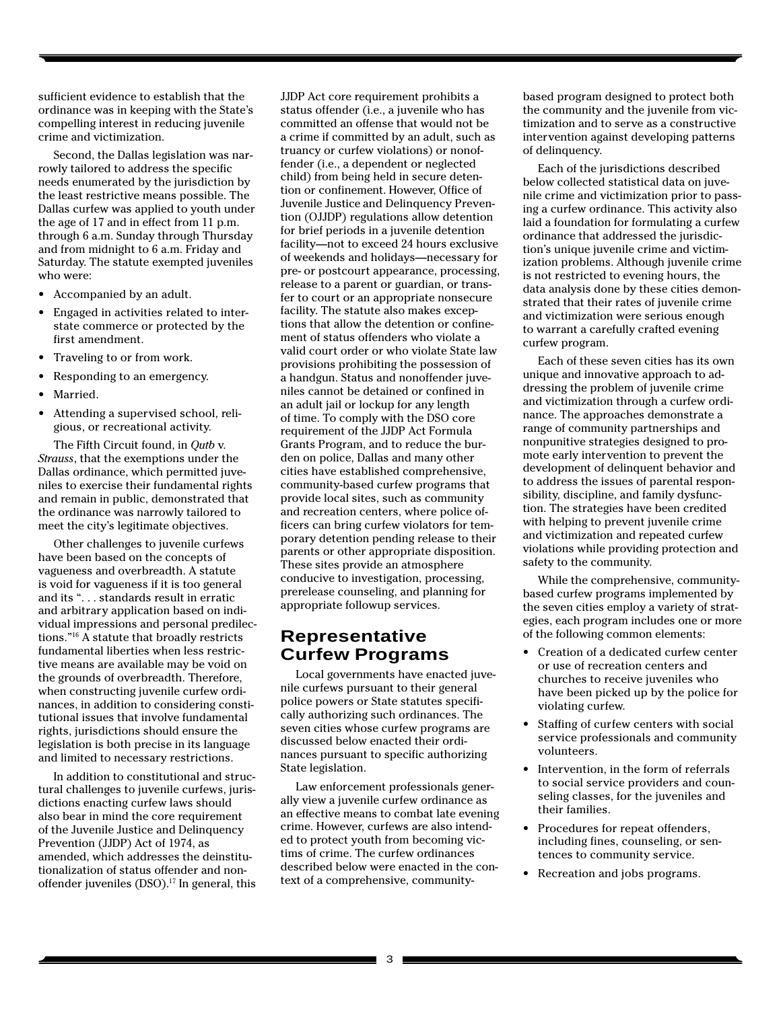sufficient evidence to establish that the ordinance was in keeping with the State's compelling interest in reducing juvenile crime and victimization.

Second, the Dallas legislation was narrowly tailored to address the specific needs enumerated by the jurisdiction by the least restrictive means possible. The Dallas curfew was applied to youth under the age of 17 and in effect from 11 p.m. through 6 a.m. Sunday through Thursday and from midnight to 6 a.m. Friday and Saturday. The statute exempted juveniles who were:

- Accompanied by an adult.
- Engaged in activities related to interstate commerce or protected by the first amendment.
- Traveling to or from work.
- Responding to an emergency.
- Married.
- Attending a supervised school, religious, or recreational activity.

The Fifth Circuit found, in *Qutb* v. *Strauss*, that the exemptions under the Dallas ordinance, which permitted juveniles to exercise their fundamental rights and remain in public, demonstrated that the ordinance was narrowly tailored to meet the city's legitimate objectives.

Other challenges to juvenile curfews have been based on the concepts of vagueness and overbreadth. A statute is void for vagueness if it is too general and its ". . . standards result in erratic and arbitrary application based on individual impressions and personal predilections."16 A statute that broadly restricts fundamental liberties when less restrictive means are available may be void on the grounds of overbreadth. Therefore, when constructing juvenile curfew ordinances, in addition to considering constitutional issues that involve fundamental rights, jurisdictions should ensure the legislation is both precise in its language and limited to necessary restrictions.

In addition to constitutional and structural challenges to juvenile curfews, jurisdictions enacting curfew laws should also bear in mind the core requirement of the Juvenile Justice and Delinquency Prevention (JJDP) Act of 1974, as amended, which addresses the deinstitutionalization of status offender and nonoffender juveniles (DSO).<sup>17</sup> In general, this JJDP Act core requirement prohibits a status offender (i.e., a juvenile who has committed an offense that would not be a crime if committed by an adult, such as truancy or curfew violations) or nonoffender (i.e., a dependent or neglected child) from being held in secure detention or confinement. However, Office of Juvenile Justice and Delinquency Prevention (OJJDP) regulations allow detention for brief periods in a juvenile detention facility—not to exceed 24 hours exclusive of weekends and holidays—necessary for pre- or postcourt appearance, processing, release to a parent or guardian, or transfer to court or an appropriate nonsecure facility. The statute also makes exceptions that allow the detention or confinement of status offenders who violate a valid court order or who violate State law provisions prohibiting the possession of a handgun. Status and nonoffender juveniles cannot be detained or confined in an adult jail or lockup for any length of time. To comply with the DSO core requirement of the JJDP Act Formula Grants Program, and to reduce the burden on police, Dallas and many other cities have established comprehensive, community-based curfew programs that provide local sites, such as community and recreation centers, where police officers can bring curfew violators for temporary detention pending release to their parents or other appropriate disposition. These sites provide an atmosphere conducive to investigation, processing, prerelease counseling, and planning for appropriate followup services.

# **Representative Curfew Programs**

Local governments have enacted juvenile curfews pursuant to their general police powers or State statutes specifically authorizing such ordinances. The seven cities whose curfew programs are discussed below enacted their ordinances pursuant to specific authorizing State legislation.

Law enforcement professionals generally view a juvenile curfew ordinance as an effective means to combat late evening crime. However, curfews are also intended to protect youth from becoming victims of crime. The curfew ordinances described below were enacted in the context of a comprehensive, community-

based program designed to protect both the community and the juvenile from victimization and to serve as a constructive intervention against developing patterns of delinquency.

Each of the jurisdictions described below collected statistical data on juvenile crime and victimization prior to passing a curfew ordinance. This activity also laid a foundation for formulating a curfew ordinance that addressed the jurisdiction's unique juvenile crime and victimization problems. Although juvenile crime is not restricted to evening hours, the data analysis done by these cities demonstrated that their rates of juvenile crime and victimization were serious enough to warrant a carefully crafted evening curfew program.

Each of these seven cities has its own unique and innovative approach to addressing the problem of juvenile crime and victimization through a curfew ordinance. The approaches demonstrate a range of community partnerships and nonpunitive strategies designed to promote early intervention to prevent the development of delinquent behavior and to address the issues of parental responsibility, discipline, and family dysfunction. The strategies have been credited with helping to prevent juvenile crime and victimization and repeated curfew violations while providing protection and safety to the community.

While the comprehensive, communitybased curfew programs implemented by the seven cities employ a variety of strategies, each program includes one or more of the following common elements:

- Creation of a dedicated curfew center or use of recreation centers and churches to receive juveniles who have been picked up by the police for violating curfew.
- Staffing of curfew centers with social service professionals and community volunteers.
- Intervention, in the form of referrals to social service providers and counseling classes, for the juveniles and their families.
- Procedures for repeat offenders, including fines, counseling, or sentences to community service.
- Recreation and jobs programs.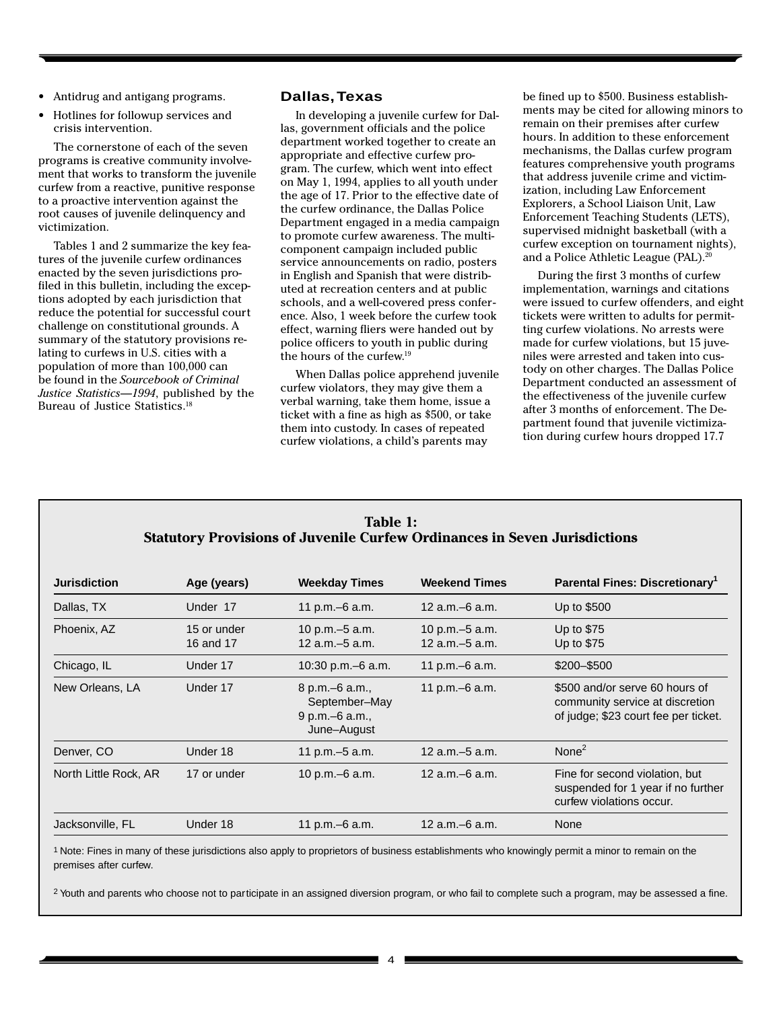- Antidrug and antigang programs.
- Hotlines for followup services and crisis intervention.

The cornerstone of each of the seven programs is creative community involvement that works to transform the juvenile curfew from a reactive, punitive response to a proactive intervention against the root causes of juvenile delinquency and victimization.

Tables 1 and 2 summarize the key features of the juvenile curfew ordinances enacted by the seven jurisdictions profiled in this bulletin, including the exceptions adopted by each jurisdiction that reduce the potential for successful court challenge on constitutional grounds. A summary of the statutory provisions relating to curfews in U.S. cities with a population of more than 100,000 can be found in the *Sourcebook of Criminal Justice Statistics—1994*, published by the Bureau of Justice Statistics.18

#### **Dallas, Texas**

In developing a juvenile curfew for Dallas, government officials and the police department worked together to create an appropriate and effective curfew program. The curfew, which went into effect on May 1, 1994, applies to all youth under the age of 17. Prior to the effective date of the curfew ordinance, the Dallas Police Department engaged in a media campaign to promote curfew awareness. The multicomponent campaign included public service announcements on radio, posters in English and Spanish that were distributed at recreation centers and at public schools, and a well-covered press conference. Also, 1 week before the curfew took effect, warning fliers were handed out by police officers to youth in public during the hours of the curfew.19

When Dallas police apprehend juvenile curfew violators, they may give them a verbal warning, take them home, issue a ticket with a fine as high as \$500, or take them into custody. In cases of repeated curfew violations, a child's parents may

be fined up to \$500. Business establishments may be cited for allowing minors to remain on their premises after curfew hours. In addition to these enforcement mechanisms, the Dallas curfew program features comprehensive youth programs that address juvenile crime and victimization, including Law Enforcement Explorers, a School Liaison Unit, Law Enforcement Teaching Students (LETS), supervised midnight basketball (with a curfew exception on tournament nights), and a Police Athletic League (PAL).<sup>20</sup>

During the first 3 months of curfew implementation, warnings and citations were issued to curfew offenders, and eight tickets were written to adults for permitting curfew violations. No arrests were made for curfew violations, but 15 juveniles were arrested and taken into custody on other charges. The Dallas Police Department conducted an assessment of the effectiveness of the juvenile curfew after 3 months of enforcement. The Department found that juvenile victimization during curfew hours dropped 17.7

| Table 1:<br><b>Statutory Provisions of Juvenile Curfew Ordinances in Seven Jurisdictions</b> |                          |                                                                      |                                          |                                                                                                           |  |  |  |  |  |  |
|----------------------------------------------------------------------------------------------|--------------------------|----------------------------------------------------------------------|------------------------------------------|-----------------------------------------------------------------------------------------------------------|--|--|--|--|--|--|
| <b>Jurisdiction</b>                                                                          | Age (years)              | <b>Weekday Times</b>                                                 | <b>Weekend Times</b>                     | Parental Fines: Discretionary <sup>1</sup><br>Up to \$500                                                 |  |  |  |  |  |  |
| Dallas, TX                                                                                   | Under 17                 | 11 p.m. - 6 a.m.                                                     | 12 $a.m.-6 a.m.$                         |                                                                                                           |  |  |  |  |  |  |
| Phoenix, AZ                                                                                  | 15 or under<br>16 and 17 | 10 p.m. - 5 a.m.<br>$12$ a.m. $-5$ a.m.                              | 10 p.m. $-5$ a.m.<br>$12$ a.m. $-5$ a.m. | Up to $$75$<br>Up to \$75                                                                                 |  |  |  |  |  |  |
| Chicago, IL                                                                                  | Under 17                 | 10:30 p.m. - 6 a.m.                                                  | 11 p.m. - 6 a.m.                         | \$200-\$500                                                                                               |  |  |  |  |  |  |
| New Orleans, LA                                                                              | Under 17                 | 8 p.m. - 6 a.m.,<br>September-May<br>9 p.m. - 6 a.m.,<br>June-August | 11 p.m. - 6 a.m.                         | \$500 and/or serve 60 hours of<br>community service at discretion<br>of judge; \$23 court fee per ticket. |  |  |  |  |  |  |
| Denver, CO                                                                                   | Under 18                 | 11 p.m. - 5 a.m.                                                     | $12$ a.m. $-5$ a.m.                      | None <sup>2</sup>                                                                                         |  |  |  |  |  |  |
| North Little Rock, AR                                                                        | 17 or under              |                                                                      | 12 $a.m.-6 a.m.$                         | Fine for second violation, but<br>suspended for 1 year if no further<br>curfew violations occur.          |  |  |  |  |  |  |
| Jacksonville, FL                                                                             | Under 18                 | 11 p.m. - 6 a.m.                                                     | 12 $a.m.-6 a.m.$                         | <b>None</b>                                                                                               |  |  |  |  |  |  |

1 Note: Fines in many of these jurisdictions also apply to proprietors of business establishments who knowingly permit a minor to remain on the premises after curfew.

2 Youth and parents who choose not to participate in an assigned diversion program, or who fail to complete such a program, may be assessed a fine.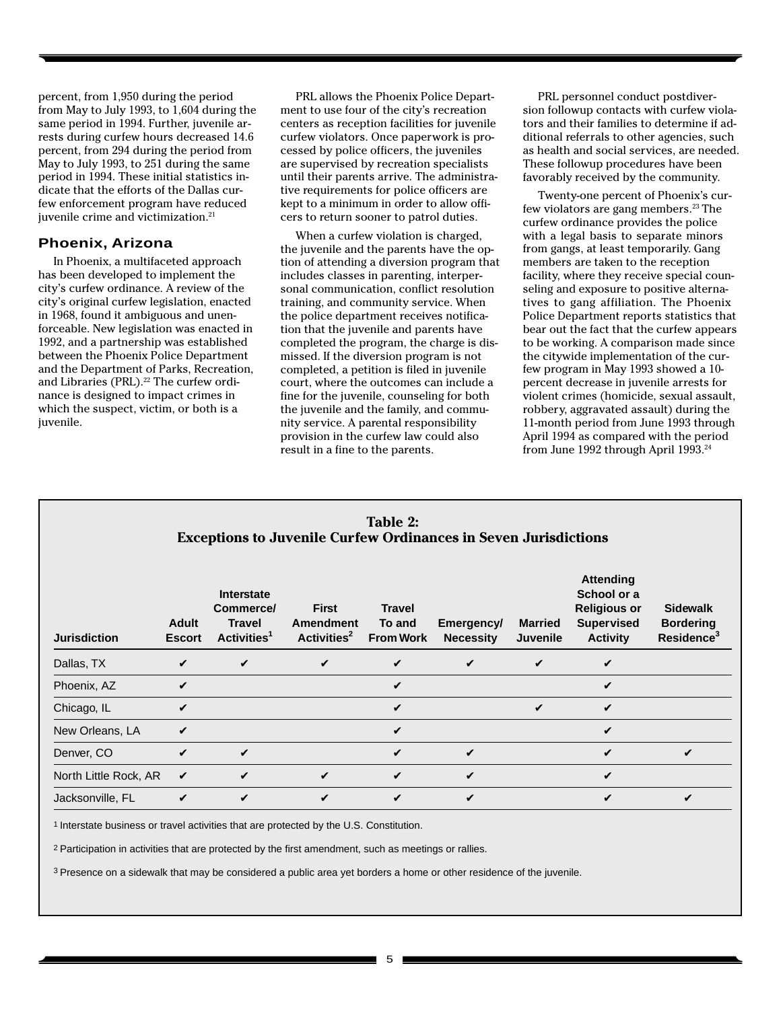percent, from 1,950 during the period from May to July 1993, to 1,604 during the same period in 1994. Further, juvenile arrests during curfew hours decreased 14.6 percent, from 294 during the period from May to July 1993, to 251 during the same period in 1994. These initial statistics indicate that the efforts of the Dallas curfew enforcement program have reduced juvenile crime and victimization.<sup>21</sup>

## **Phoenix, Arizona**

In Phoenix, a multifaceted approach has been developed to implement the city's curfew ordinance. A review of the city's original curfew legislation, enacted in 1968, found it ambiguous and unenforceable. New legislation was enacted in 1992, and a partnership was established between the Phoenix Police Department and the Department of Parks, Recreation, and Libraries (PRL).<sup>22</sup> The curfew ordinance is designed to impact crimes in which the suspect, victim, or both is a juvenile.

PRL allows the Phoenix Police Department to use four of the city's recreation centers as reception facilities for juvenile curfew violators. Once paperwork is processed by police officers, the juveniles are supervised by recreation specialists until their parents arrive. The administrative requirements for police officers are kept to a minimum in order to allow officers to return sooner to patrol duties.

When a curfew violation is charged, the juvenile and the parents have the option of attending a diversion program that includes classes in parenting, interpersonal communication, conflict resolution training, and community service. When the police department receives notification that the juvenile and parents have completed the program, the charge is dismissed. If the diversion program is not completed, a petition is filed in juvenile court, where the outcomes can include a fine for the juvenile, counseling for both the juvenile and the family, and community service. A parental responsibility provision in the curfew law could also result in a fine to the parents.

PRL personnel conduct postdiversion followup contacts with curfew violators and their families to determine if additional referrals to other agencies, such as health and social services, are needed. These followup procedures have been favorably received by the community.

Twenty-one percent of Phoenix's curfew violators are gang members. $^{23}$  The curfew ordinance provides the police with a legal basis to separate minors from gangs, at least temporarily. Gang members are taken to the reception facility, where they receive special counseling and exposure to positive alternatives to gang affiliation. The Phoenix Police Department reports statistics that bear out the fact that the curfew appears to be working. A comparison made since the citywide implementation of the curfew program in May 1993 showed a 10 percent decrease in juvenile arrests for violent crimes (homicide, sexual assault, robbery, aggravated assault) during the 11-month period from June 1993 through April 1994 as compared with the period from June 1992 through April 1993.<sup>24</sup>

|                       | Table 2:<br><b>Exceptions to Juvenile Curfew Ordinances in Seven Jurisdictions</b> |                                                                     |                                                             |                                             |                                |                                   |                                                                                                |                                                               |  |  |  |
|-----------------------|------------------------------------------------------------------------------------|---------------------------------------------------------------------|-------------------------------------------------------------|---------------------------------------------|--------------------------------|-----------------------------------|------------------------------------------------------------------------------------------------|---------------------------------------------------------------|--|--|--|
| <b>Jurisdiction</b>   | <b>Adult</b><br><b>Escort</b>                                                      | Interstate<br>Commerce/<br><b>Travel</b><br>Activities <sup>1</sup> | <b>First</b><br><b>Amendment</b><br>Activities <sup>2</sup> | <b>Travel</b><br>To and<br><b>From Work</b> | Emergency/<br><b>Necessity</b> | <b>Married</b><br><b>Juvenile</b> | <b>Attending</b><br>School or a<br><b>Religious or</b><br><b>Supervised</b><br><b>Activity</b> | <b>Sidewalk</b><br><b>Bordering</b><br>Residence <sup>3</sup> |  |  |  |
| Dallas, TX            | V                                                                                  | $\mathbf v$                                                         | $\checkmark$                                                | ✓                                           | V                              | V                                 | $\checkmark$                                                                                   |                                                               |  |  |  |
| Phoenix, AZ           | ✓                                                                                  |                                                                     |                                                             | ✓                                           |                                |                                   | $\checkmark$                                                                                   |                                                               |  |  |  |
| Chicago, IL           | V                                                                                  |                                                                     |                                                             | ✓                                           |                                | $\boldsymbol{\mathcal{U}}$        | $\checkmark$                                                                                   |                                                               |  |  |  |
| New Orleans, LA       | V                                                                                  |                                                                     |                                                             | V                                           |                                |                                   | $\checkmark$                                                                                   |                                                               |  |  |  |
| Denver, CO            | ✓                                                                                  | V                                                                   |                                                             | ✓                                           | $\boldsymbol{\mathcal{U}}$     |                                   | V                                                                                              | ✓                                                             |  |  |  |
| North Little Rock, AR | $\checkmark$                                                                       | V                                                                   | $\boldsymbol{\mathcal{U}}$                                  | $\checkmark$                                | $\boldsymbol{\mathcal{U}}$     |                                   | $\boldsymbol{\nu}$                                                                             |                                                               |  |  |  |
| Jacksonville, FL      | V                                                                                  | V                                                                   | ✔                                                           | ✔                                           | ✓                              |                                   | V                                                                                              |                                                               |  |  |  |

1 Interstate business or travel activities that are protected by the U.S. Constitution.

2 Participation in activities that are protected by the first amendment, such as meetings or rallies.

3 Presence on a sidewalk that may be considered a public area yet borders a home or other residence of the juvenile.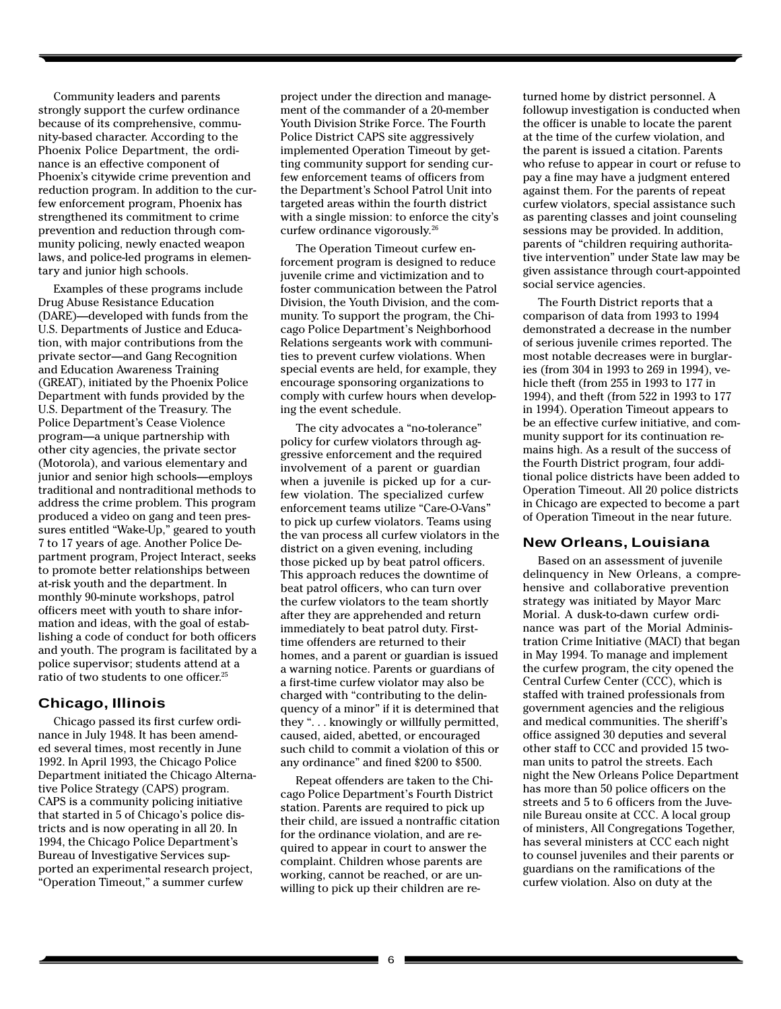Community leaders and parents strongly support the curfew ordinance because of its comprehensive, community-based character. According to the Phoenix Police Department, the ordinance is an effective component of Phoenix's citywide crime prevention and reduction program. In addition to the curfew enforcement program, Phoenix has strengthened its commitment to crime prevention and reduction through community policing, newly enacted weapon laws, and police-led programs in elementary and junior high schools.

Examples of these programs include Drug Abuse Resistance Education (DARE)—developed with funds from the U.S. Departments of Justice and Education, with major contributions from the private sector—and Gang Recognition and Education Awareness Training (GREAT), initiated by the Phoenix Police Department with funds provided by the U.S. Department of the Treasury. The Police Department's Cease Violence program—a unique partnership with other city agencies, the private sector (Motorola), and various elementary and junior and senior high schools—employs traditional and nontraditional methods to address the crime problem. This program produced a video on gang and teen pressures entitled "Wake-Up," geared to youth 7 to 17 years of age. Another Police Department program, Project Interact, seeks to promote better relationships between at-risk youth and the department. In monthly 90-minute workshops, patrol officers meet with youth to share information and ideas, with the goal of establishing a code of conduct for both officers and youth. The program is facilitated by a police supervisor; students attend at a ratio of two students to one officer.<sup>25</sup>

## **Chicago, Illinois**

Chicago passed its first curfew ordinance in July 1948. It has been amended several times, most recently in June 1992. In April 1993, the Chicago Police Department initiated the Chicago Alternative Police Strategy (CAPS) program. CAPS is a community policing initiative that started in 5 of Chicago's police districts and is now operating in all 20. In 1994, the Chicago Police Department's Bureau of Investigative Services supported an experimental research project, "Operation Timeout," a summer curfew

project under the direction and management of the commander of a 20-member Youth Division Strike Force. The Fourth Police District CAPS site aggressively implemented Operation Timeout by getting community support for sending curfew enforcement teams of officers from the Department's School Patrol Unit into targeted areas within the fourth district with a single mission: to enforce the city's curfew ordinance vigorously.<sup>26</sup>

The Operation Timeout curfew enforcement program is designed to reduce juvenile crime and victimization and to foster communication between the Patrol Division, the Youth Division, and the community. To support the program, the Chicago Police Department's Neighborhood Relations sergeants work with communities to prevent curfew violations. When special events are held, for example, they encourage sponsoring organizations to comply with curfew hours when developing the event schedule.

The city advocates a "no-tolerance" policy for curfew violators through aggressive enforcement and the required involvement of a parent or guardian when a juvenile is picked up for a curfew violation. The specialized curfew enforcement teams utilize "Care-O-Vans" to pick up curfew violators. Teams using the van process all curfew violators in the district on a given evening, including those picked up by beat patrol officers. This approach reduces the downtime of beat patrol officers, who can turn over the curfew violators to the team shortly after they are apprehended and return immediately to beat patrol duty. Firsttime offenders are returned to their homes, and a parent or guardian is issued a warning notice. Parents or guardians of a first-time curfew violator may also be charged with "contributing to the delinquency of a minor" if it is determined that they ". . . knowingly or willfully permitted, caused, aided, abetted, or encouraged such child to commit a violation of this or any ordinance" and fined \$200 to \$500.

Repeat offenders are taken to the Chicago Police Department's Fourth District station. Parents are required to pick up their child, are issued a nontraffic citation for the ordinance violation, and are required to appear in court to answer the complaint. Children whose parents are working, cannot be reached, or are unwilling to pick up their children are returned home by district personnel. A followup investigation is conducted when the officer is unable to locate the parent at the time of the curfew violation, and the parent is issued a citation. Parents who refuse to appear in court or refuse to pay a fine may have a judgment entered against them. For the parents of repeat curfew violators, special assistance such as parenting classes and joint counseling sessions may be provided. In addition, parents of "children requiring authoritative intervention" under State law may be given assistance through court-appointed social service agencies.

The Fourth District reports that a comparison of data from 1993 to 1994 demonstrated a decrease in the number of serious juvenile crimes reported. The most notable decreases were in burglaries (from 304 in 1993 to 269 in 1994), vehicle theft (from 255 in 1993 to 177 in 1994), and theft (from 522 in 1993 to 177 in 1994). Operation Timeout appears to be an effective curfew initiative, and community support for its continuation remains high. As a result of the success of the Fourth District program, four additional police districts have been added to Operation Timeout. All 20 police districts in Chicago are expected to become a part of Operation Timeout in the near future.

## **New Orleans, Louisiana**

Based on an assessment of juvenile delinquency in New Orleans, a comprehensive and collaborative prevention strategy was initiated by Mayor Marc Morial. A dusk-to-dawn curfew ordinance was part of the Morial Administration Crime Initiative (MACI) that began in May 1994. To manage and implement the curfew program, the city opened the Central Curfew Center (CCC), which is staffed with trained professionals from government agencies and the religious and medical communities. The sheriff's office assigned 30 deputies and several other staff to CCC and provided 15 twoman units to patrol the streets. Each night the New Orleans Police Department has more than 50 police officers on the streets and 5 to 6 officers from the Juvenile Bureau onsite at CCC. A local group of ministers, All Congregations Together, has several ministers at CCC each night to counsel juveniles and their parents or guardians on the ramifications of the curfew violation. Also on duty at the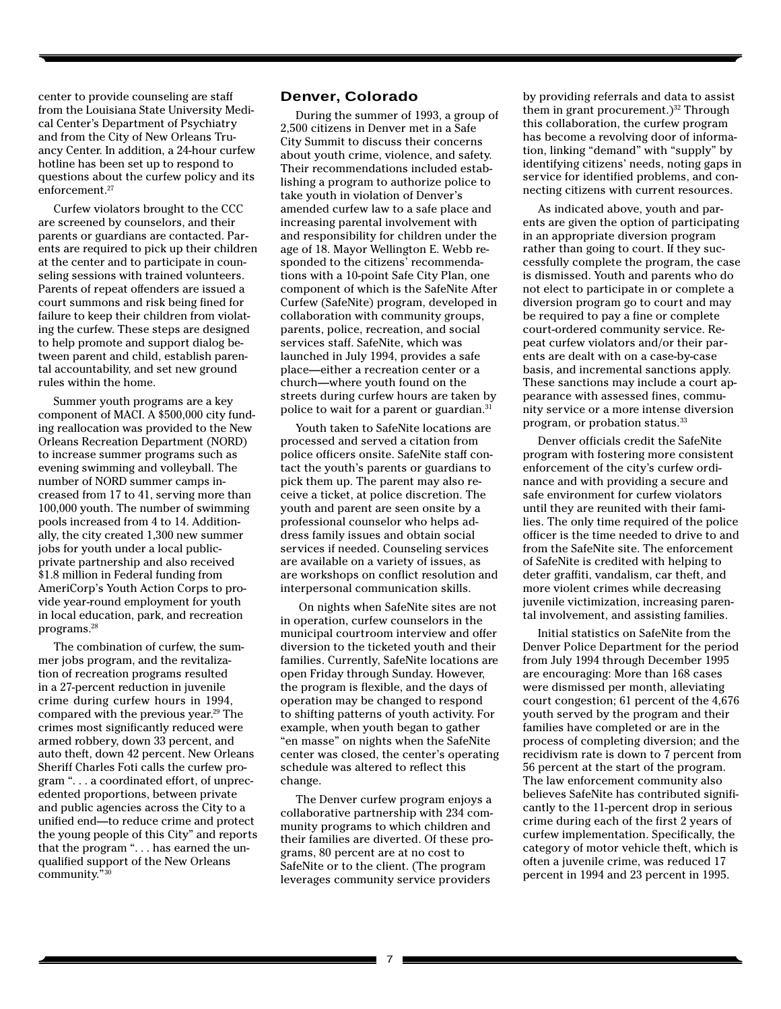center to provide counseling are staff from the Louisiana State University Medical Center's Department of Psychiatry and from the City of New Orleans Truancy Center. In addition, a 24-hour curfew hotline has been set up to respond to questions about the curfew policy and its enforcement.<sup>27</sup>

Curfew violators brought to the CCC are screened by counselors, and their parents or guardians are contacted. Parents are required to pick up their children at the center and to participate in counseling sessions with trained volunteers. Parents of repeat offenders are issued a court summons and risk being fined for failure to keep their children from violating the curfew. These steps are designed to help promote and support dialog between parent and child, establish parental accountability, and set new ground rules within the home.

Summer youth programs are a key component of MACI. A \$500,000 city funding reallocation was provided to the New Orleans Recreation Department (NORD) to increase summer programs such as evening swimming and volleyball. The number of NORD summer camps increased from 17 to 41, serving more than 100,000 youth. The number of swimming pools increased from 4 to 14. Additionally, the city created 1,300 new summer jobs for youth under a local publicprivate partnership and also received \$1.8 million in Federal funding from AmeriCorp's Youth Action Corps to provide year-round employment for youth in local education, park, and recreation programs.28

The combination of curfew, the summer jobs program, and the revitalization of recreation programs resulted in a 27-percent reduction in juvenile crime during curfew hours in 1994, compared with the previous year.29 The crimes most significantly reduced were armed robbery, down 33 percent, and auto theft, down 42 percent. New Orleans Sheriff Charles Foti calls the curfew program ". . . a coordinated effort, of unprecedented proportions, between private and public agencies across the City to a unified end—to reduce crime and protect the young people of this City" and reports that the program ". . . has earned the unqualified support of the New Orleans community."30

#### **Denver, Colorado**

During the summer of 1993, a group of 2,500 citizens in Denver met in a Safe City Summit to discuss their concerns about youth crime, violence, and safety. Their recommendations included establishing a program to authorize police to take youth in violation of Denver's amended curfew law to a safe place and increasing parental involvement with and responsibility for children under the age of 18. Mayor Wellington E. Webb responded to the citizens' recommendations with a 10-point Safe City Plan, one component of which is the SafeNite After Curfew (SafeNite) program, developed in collaboration with community groups, parents, police, recreation, and social services staff. SafeNite, which was launched in July 1994, provides a safe place—either a recreation center or a church—where youth found on the streets during curfew hours are taken by police to wait for a parent or guardian.<sup>31</sup>

Youth taken to SafeNite locations are processed and served a citation from police officers onsite. SafeNite staff contact the youth's parents or guardians to pick them up. The parent may also receive a ticket, at police discretion. The youth and parent are seen onsite by a professional counselor who helps address family issues and obtain social services if needed. Counseling services are available on a variety of issues, as are workshops on conflict resolution and interpersonal communication skills.

 On nights when SafeNite sites are not in operation, curfew counselors in the municipal courtroom interview and offer diversion to the ticketed youth and their families. Currently, SafeNite locations are open Friday through Sunday. However, the program is flexible, and the days of operation may be changed to respond to shifting patterns of youth activity. For example, when youth began to gather "en masse" on nights when the SafeNite center was closed, the center's operating schedule was altered to reflect this change.

The Denver curfew program enjoys a collaborative partnership with 234 community programs to which children and their families are diverted. Of these programs, 80 percent are at no cost to SafeNite or to the client. (The program leverages community service providers

by providing referrals and data to assist them in grant procurement.) $32$  Through this collaboration, the curfew program has become a revolving door of information, linking "demand" with "supply" by identifying citizens' needs, noting gaps in service for identified problems, and connecting citizens with current resources.

As indicated above, youth and parents are given the option of participating in an appropriate diversion program rather than going to court. If they successfully complete the program, the case is dismissed. Youth and parents who do not elect to participate in or complete a diversion program go to court and may be required to pay a fine or complete court-ordered community service. Repeat curfew violators and/or their parents are dealt with on a case-by-case basis, and incremental sanctions apply. These sanctions may include a court appearance with assessed fines, community service or a more intense diversion program, or probation status.33

Denver officials credit the SafeNite program with fostering more consistent enforcement of the city's curfew ordinance and with providing a secure and safe environment for curfew violators until they are reunited with their families. The only time required of the police officer is the time needed to drive to and from the SafeNite site. The enforcement of SafeNite is credited with helping to deter graffiti, vandalism, car theft, and more violent crimes while decreasing juvenile victimization, increasing parental involvement, and assisting families.

Initial statistics on SafeNite from the Denver Police Department for the period from July 1994 through December 1995 are encouraging: More than 168 cases were dismissed per month, alleviating court congestion; 61 percent of the 4,676 youth served by the program and their families have completed or are in the process of completing diversion; and the recidivism rate is down to 7 percent from 56 percent at the start of the program. The law enforcement community also believes SafeNite has contributed significantly to the 11-percent drop in serious crime during each of the first 2 years of curfew implementation. Specifically, the category of motor vehicle theft, which is often a juvenile crime, was reduced 17 percent in 1994 and 23 percent in 1995.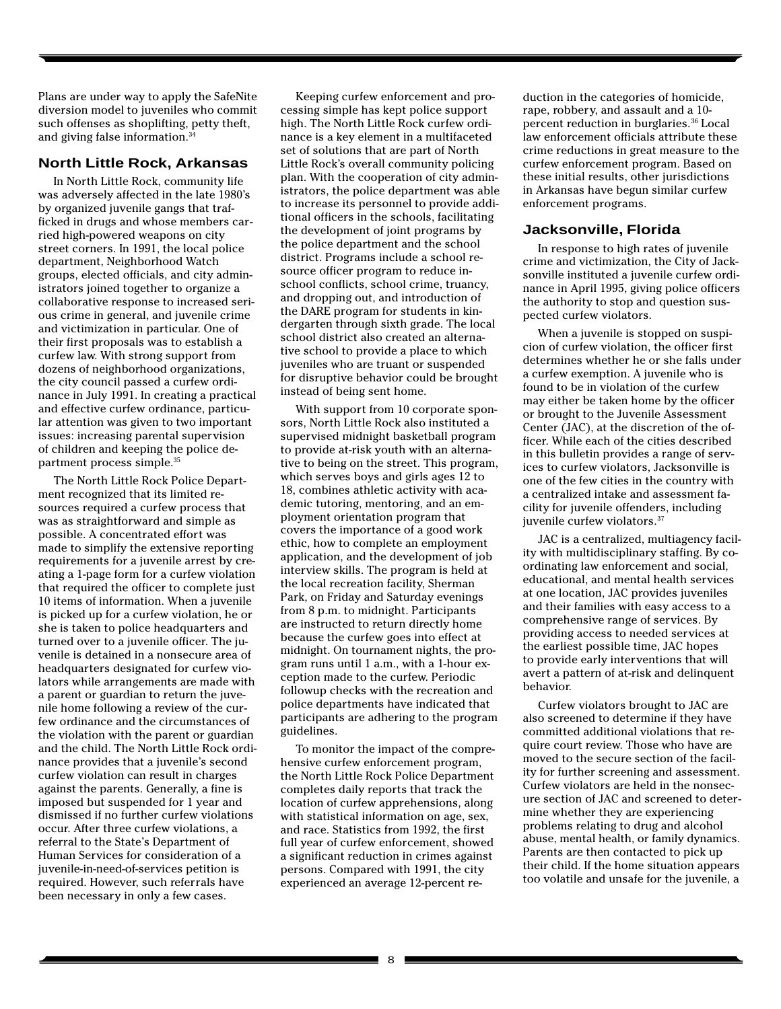Plans are under way to apply the SafeNite diversion model to juveniles who commit such offenses as shoplifting, petty theft, and giving false information.34

#### **North Little Rock, Arkansas**

In North Little Rock, community life was adversely affected in the late 1980's by organized juvenile gangs that trafficked in drugs and whose members carried high-powered weapons on city street corners. In 1991, the local police department, Neighborhood Watch groups, elected officials, and city administrators joined together to organize a collaborative response to increased serious crime in general, and juvenile crime and victimization in particular. One of their first proposals was to establish a curfew law. With strong support from dozens of neighborhood organizations, the city council passed a curfew ordinance in July 1991. In creating a practical and effective curfew ordinance, particular attention was given to two important issues: increasing parental supervision of children and keeping the police department process simple.35

The North Little Rock Police Department recognized that its limited resources required a curfew process that was as straightforward and simple as possible. A concentrated effort was made to simplify the extensive reporting requirements for a juvenile arrest by creating a 1-page form for a curfew violation that required the officer to complete just 10 items of information. When a juvenile is picked up for a curfew violation, he or she is taken to police headquarters and turned over to a juvenile officer. The juvenile is detained in a nonsecure area of headquarters designated for curfew violators while arrangements are made with a parent or guardian to return the juvenile home following a review of the curfew ordinance and the circumstances of the violation with the parent or guardian and the child. The North Little Rock ordinance provides that a juvenile's second curfew violation can result in charges against the parents. Generally, a fine is imposed but suspended for 1 year and dismissed if no further curfew violations occur. After three curfew violations, a referral to the State's Department of Human Services for consideration of a juvenile-in-need-of-services petition is required. However, such referrals have been necessary in only a few cases.

Keeping curfew enforcement and processing simple has kept police support high. The North Little Rock curfew ordinance is a key element in a multifaceted set of solutions that are part of North Little Rock's overall community policing plan. With the cooperation of city administrators, the police department was able to increase its personnel to provide additional officers in the schools, facilitating the development of joint programs by the police department and the school district. Programs include a school resource officer program to reduce inschool conflicts, school crime, truancy, and dropping out, and introduction of the DARE program for students in kindergarten through sixth grade. The local school district also created an alternative school to provide a place to which juveniles who are truant or suspended for disruptive behavior could be brought instead of being sent home.

With support from 10 corporate sponsors, North Little Rock also instituted a supervised midnight basketball program to provide at-risk youth with an alternative to being on the street. This program, which serves boys and girls ages 12 to 18, combines athletic activity with academic tutoring, mentoring, and an employment orientation program that covers the importance of a good work ethic, how to complete an employment application, and the development of job interview skills. The program is held at the local recreation facility, Sherman Park, on Friday and Saturday evenings from 8 p.m. to midnight. Participants are instructed to return directly home because the curfew goes into effect at midnight. On tournament nights, the program runs until 1 a.m., with a 1-hour exception made to the curfew. Periodic followup checks with the recreation and police departments have indicated that participants are adhering to the program guidelines.

To monitor the impact of the comprehensive curfew enforcement program, the North Little Rock Police Department completes daily reports that track the location of curfew apprehensions, along with statistical information on age, sex, and race. Statistics from 1992, the first full year of curfew enforcement, showed a significant reduction in crimes against persons. Compared with 1991, the city experienced an average 12-percent re-

duction in the categories of homicide, rape, robbery, and assault and a 10 percent reduction in burglaries.36 Local law enforcement officials attribute these crime reductions in great measure to the curfew enforcement program. Based on these initial results, other jurisdictions in Arkansas have begun similar curfew enforcement programs.

#### **Jacksonville, Florida**

In response to high rates of juvenile crime and victimization, the City of Jacksonville instituted a juvenile curfew ordinance in April 1995, giving police officers the authority to stop and question suspected curfew violators.

When a juvenile is stopped on suspicion of curfew violation, the officer first determines whether he or she falls under a curfew exemption. A juvenile who is found to be in violation of the curfew may either be taken home by the officer or brought to the Juvenile Assessment Center (JAC), at the discretion of the officer. While each of the cities described in this bulletin provides a range of services to curfew violators, Jacksonville is one of the few cities in the country with a centralized intake and assessment facility for juvenile offenders, including juvenile curfew violators.<sup>37</sup>

JAC is a centralized, multiagency facility with multidisciplinary staffing. By coordinating law enforcement and social, educational, and mental health services at one location, JAC provides juveniles and their families with easy access to a comprehensive range of services. By providing access to needed services at the earliest possible time, JAC hopes to provide early interventions that will avert a pattern of at-risk and delinquent behavior.

Curfew violators brought to JAC are also screened to determine if they have committed additional violations that require court review. Those who have are moved to the secure section of the facility for further screening and assessment. Curfew violators are held in the nonsecure section of JAC and screened to determine whether they are experiencing problems relating to drug and alcohol abuse, mental health, or family dynamics. Parents are then contacted to pick up their child. If the home situation appears too volatile and unsafe for the juvenile, a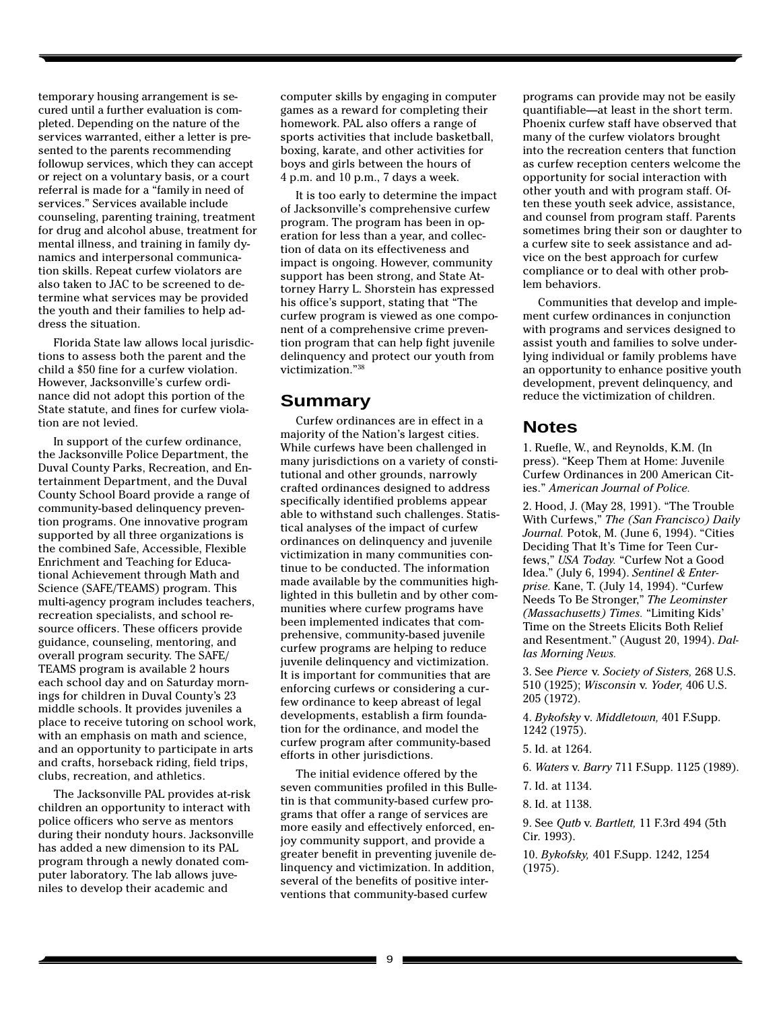temporary housing arrangement is secured until a further evaluation is completed. Depending on the nature of the services warranted, either a letter is presented to the parents recommending followup services, which they can accept or reject on a voluntary basis, or a court referral is made for a "family in need of services." Services available include counseling, parenting training, treatment for drug and alcohol abuse, treatment for mental illness, and training in family dynamics and interpersonal communication skills. Repeat curfew violators are also taken to JAC to be screened to determine what services may be provided the youth and their families to help address the situation.

Florida State law allows local jurisdictions to assess both the parent and the child a \$50 fine for a curfew violation. However, Jacksonville's curfew ordinance did not adopt this portion of the State statute, and fines for curfew violation are not levied.

In support of the curfew ordinance, the Jacksonville Police Department, the Duval County Parks, Recreation, and Entertainment Department, and the Duval County School Board provide a range of community-based delinquency prevention programs. One innovative program supported by all three organizations is the combined Safe, Accessible, Flexible Enrichment and Teaching for Educational Achievement through Math and Science (SAFE/TEAMS) program. This multi-agency program includes teachers, recreation specialists, and school resource officers. These officers provide guidance, counseling, mentoring, and overall program security. The SAFE/ TEAMS program is available 2 hours each school day and on Saturday mornings for children in Duval County's 23 middle schools. It provides juveniles a place to receive tutoring on school work, with an emphasis on math and science, and an opportunity to participate in arts and crafts, horseback riding, field trips, clubs, recreation, and athletics.

The Jacksonville PAL provides at-risk children an opportunity to interact with police officers who serve as mentors during their nonduty hours. Jacksonville has added a new dimension to its PAL program through a newly donated computer laboratory. The lab allows juveniles to develop their academic and

computer skills by engaging in computer games as a reward for completing their homework. PAL also offers a range of sports activities that include basketball, boxing, karate, and other activities for boys and girls between the hours of 4 p.m. and 10 p.m., 7 days a week.

It is too early to determine the impact of Jacksonville's comprehensive curfew program. The program has been in operation for less than a year, and collection of data on its effectiveness and impact is ongoing. However, community support has been strong, and State Attorney Harry L. Shorstein has expressed his office's support, stating that "The curfew program is viewed as one component of a comprehensive crime prevention program that can help fight juvenile delinquency and protect our youth from victimization."38

## **Summary**

Curfew ordinances are in effect in a majority of the Nation's largest cities. While curfews have been challenged in many jurisdictions on a variety of constitutional and other grounds, narrowly crafted ordinances designed to address specifically identified problems appear able to withstand such challenges. Statistical analyses of the impact of curfew ordinances on delinquency and juvenile victimization in many communities continue to be conducted. The information made available by the communities highlighted in this bulletin and by other communities where curfew programs have been implemented indicates that comprehensive, community-based juvenile curfew programs are helping to reduce juvenile delinquency and victimization. It is important for communities that are enforcing curfews or considering a curfew ordinance to keep abreast of legal developments, establish a firm foundation for the ordinance, and model the curfew program after community-based efforts in other jurisdictions.

The initial evidence offered by the seven communities profiled in this Bulletin is that community-based curfew programs that offer a range of services are more easily and effectively enforced, enjoy community support, and provide a greater benefit in preventing juvenile delinquency and victimization. In addition, several of the benefits of positive interventions that community-based curfew

programs can provide may not be easily quantifiable—at least in the short term. Phoenix curfew staff have observed that many of the curfew violators brought into the recreation centers that function as curfew reception centers welcome the opportunity for social interaction with other youth and with program staff. Often these youth seek advice, assistance, and counsel from program staff. Parents sometimes bring their son or daughter to a curfew site to seek assistance and advice on the best approach for curfew compliance or to deal with other problem behaviors.

Communities that develop and implement curfew ordinances in conjunction with programs and services designed to assist youth and families to solve underlying individual or family problems have an opportunity to enhance positive youth development, prevent delinquency, and reduce the victimization of children.

## **Notes**

1. Ruefle, W., and Reynolds, K.M. (In press). "Keep Them at Home: Juvenile Curfew Ordinances in 200 American Cities." *American Journal of Police.*

2. Hood, J. (May 28, 1991). "The Trouble With Curfews," *The (San Francisco) Daily Journal.* Potok, M. (June 6, 1994). "Cities Deciding That It's Time for Teen Curfews," *USA Today.* "Curfew Not a Good Idea." (July 6, 1994). *Sentinel & Enterprise.* Kane, T. (July 14, 1994). "Curfew Needs To Be Stronger," *The Leominster (Massachusetts) Times.* "Limiting Kids' Time on the Streets Elicits Both Relief and Resentment." (August 20, 1994). *Dallas Morning News.*

3. See *Pierce* v. *Society of Sisters,* 268 U.S. 510 (1925); *Wisconsin* v. *Yoder,* 406 U.S. 205 (1972).

4. *Bykofsky* v. *Middletown,* 401 F.Supp. 1242 (1975).

5. Id. at 1264.

6. *Waters* v. *Barry* 711 F.Supp. 1125 (1989).

7. Id. at 1134.

8. Id. at 1138.

9. See *Qutb* v. *Bartlett,* 11 F.3rd 494 (5th Cir. 1993).

10. *Bykofsky,* 401 F.Supp. 1242, 1254 (1975).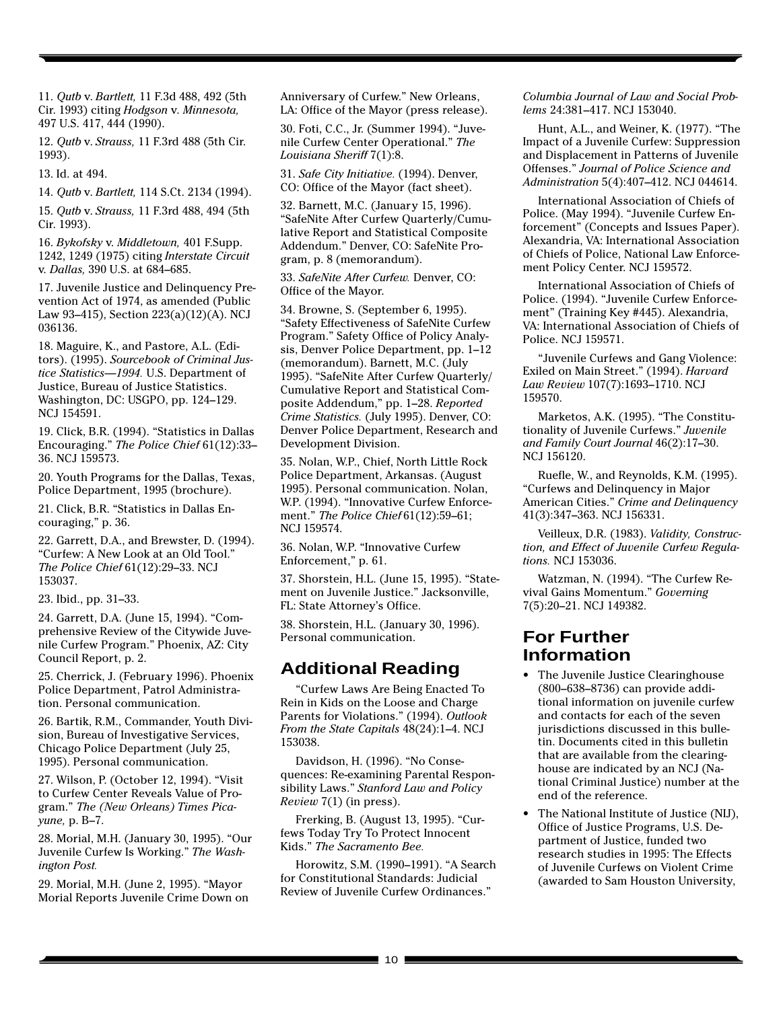11. *Qutb* v. *Bartlett,* 11 F.3d 488, 492 (5th Cir. 1993) citing *Hodgson* v. *Minnesota,* 497 U.S. 417, 444 (1990).

12. *Qutb* v. *Strauss,* 11 F.3rd 488 (5th Cir. 1993).

13. Id. at 494.

14. *Qutb* v. *Bartlett,* 114 S.Ct. 2134 (1994).

15. *Qutb* v. *Strauss,* 11 F.3rd 488, 494 (5th Cir. 1993).

16. *Bykofsky* v. *Middletown,* 401 F.Supp. 1242, 1249 (1975) citing *Interstate Circuit* v. *Dallas,* 390 U.S. at 684–685.

17. Juvenile Justice and Delinquency Prevention Act of 1974, as amended (Public Law 93–415), Section 223(a)(12)(A). NCJ 036136.

18. Maguire, K., and Pastore, A.L. (Editors). (1995). *Sourcebook of Criminal Justice Statistics—1994.* U.S. Department of Justice, Bureau of Justice Statistics. Washington, DC: USGPO, pp. 124–129. NCJ 154591.

19. Click, B.R. (1994). "Statistics in Dallas Encouraging." *The Police Chief* 61(12):33– 36. NCJ 159573.

20. Youth Programs for the Dallas, Texas, Police Department, 1995 (brochure).

21. Click, B.R. "Statistics in Dallas Encouraging," p. 36.

22. Garrett, D.A., and Brewster, D. (1994). "Curfew: A New Look at an Old Tool." *The Police Chief* 61(12):29–33. NCJ 153037.

23. Ibid., pp. 31–33.

24. Garrett, D.A. (June 15, 1994). "Comprehensive Review of the Citywide Juvenile Curfew Program." Phoenix, AZ: City Council Report, p. 2.

25. Cherrick, J. (February 1996). Phoenix Police Department, Patrol Administration. Personal communication.

26. Bartik, R.M., Commander, Youth Division, Bureau of Investigative Services, Chicago Police Department (July 25, 1995). Personal communication.

27. Wilson, P. (October 12, 1994). "Visit to Curfew Center Reveals Value of Program." *The (New Orleans) Times Picayune,* p. B–7.

28. Morial, M.H. (January 30, 1995). "Our Juvenile Curfew Is Working." *The Washington Post.*

29. Morial, M.H. (June 2, 1995). "Mayor Morial Reports Juvenile Crime Down on Anniversary of Curfew." New Orleans, LA: Office of the Mayor (press release).

30. Foti, C.C., Jr. (Summer 1994). "Juvenile Curfew Center Operational." *The Louisiana Sheriff* 7(1):8.

31. *Safe City Initiative.* (1994). Denver, CO: Office of the Mayor (fact sheet).

32. Barnett, M.C. (January 15, 1996). "SafeNite After Curfew Quarterly/Cumulative Report and Statistical Composite Addendum." Denver, CO: SafeNite Program, p. 8 (memorandum).

33. *SafeNite After Curfew.* Denver, CO: Office of the Mayor.

34. Browne, S. (September 6, 1995). "Safety Effectiveness of SafeNite Curfew Program." Safety Office of Policy Analysis, Denver Police Department, pp. 1–12 (memorandum). Barnett, M.C. (July 1995). "SafeNite After Curfew Quarterly/ Cumulative Report and Statistical Composite Addendum," pp. 1–28. *Reported Crime Statistics.* (July 1995). Denver, CO: Denver Police Department, Research and Development Division.

35. Nolan, W.P., Chief, North Little Rock Police Department, Arkansas. (August 1995). Personal communication. Nolan, W.P. (1994). "Innovative Curfew Enforcement." *The Police Chief* 61(12):59–61; NCJ 159574.

36. Nolan, W.P. "Innovative Curfew Enforcement," p. 61.

37. Shorstein, H.L. (June 15, 1995). "Statement on Juvenile Justice." Jacksonville, FL: State Attorney's Office.

38. Shorstein, H.L. (January 30, 1996). Personal communication.

# **Additional Reading**

"Curfew Laws Are Being Enacted To Rein in Kids on the Loose and Charge Parents for Violations." (1994). *Outlook From the State Capitals* 48(24):1–4. NCJ 153038.

Davidson, H. (1996). "No Consequences: Re-examining Parental Responsibility Laws." *Stanford Law and Policy Review* 7(1) (in press).

Frerking, B. (August 13, 1995). "Curfews Today Try To Protect Innocent Kids." *The Sacramento Bee.*

Horowitz, S.M. (1990–1991). "A Search for Constitutional Standards: Judicial Review of Juvenile Curfew Ordinances."

*Columbia Journal of Law and Social Problems* 24:381–417. NCJ 153040.

Hunt, A.L., and Weiner, K. (1977). "The Impact of a Juvenile Curfew: Suppression and Displacement in Patterns of Juvenile Offenses." *Journal of Police Science and Administration* 5(4):407–412. NCJ 044614.

International Association of Chiefs of Police. (May 1994). "Juvenile Curfew Enforcement" (Concepts and Issues Paper). Alexandria, VA: International Association of Chiefs of Police, National Law Enforcement Policy Center. NCJ 159572.

International Association of Chiefs of Police. (1994). "Juvenile Curfew Enforcement" (Training Key #445). Alexandria, VA: International Association of Chiefs of Police. NCJ 159571.

"Juvenile Curfews and Gang Violence: Exiled on Main Street." (1994). *Harvard Law Review* 107(7):1693–1710. NCJ 159570.

Marketos, A.K. (1995). "The Constitutionality of Juvenile Curfews." *Juvenile and Family Court Journal* 46(2):17–30. NCJ 156120.

Ruefle, W., and Reynolds, K.M. (1995). "Curfews and Delinquency in Major American Cities." *Crime and Delinquency* 41(3):347–363. NCJ 156331.

Veilleux, D.R. (1983). *Validity, Construction, and Effect of Juvenile Curfew Regulations.* NCJ 153036.

Watzman, N. (1994). "The Curfew Revival Gains Momentum." *Governing* 7(5):20–21. NCJ 149382.

# **For Further Information**

- The Juvenile Justice Clearinghouse (800–638–8736) can provide additional information on juvenile curfew and contacts for each of the seven jurisdictions discussed in this bulletin. Documents cited in this bulletin that are available from the clearinghouse are indicated by an NCJ (National Criminal Justice) number at the end of the reference.
- The National Institute of Justice (NIJ), Office of Justice Programs, U.S. Department of Justice, funded two research studies in 1995: The Effects of Juvenile Curfews on Violent Crime (awarded to Sam Houston University,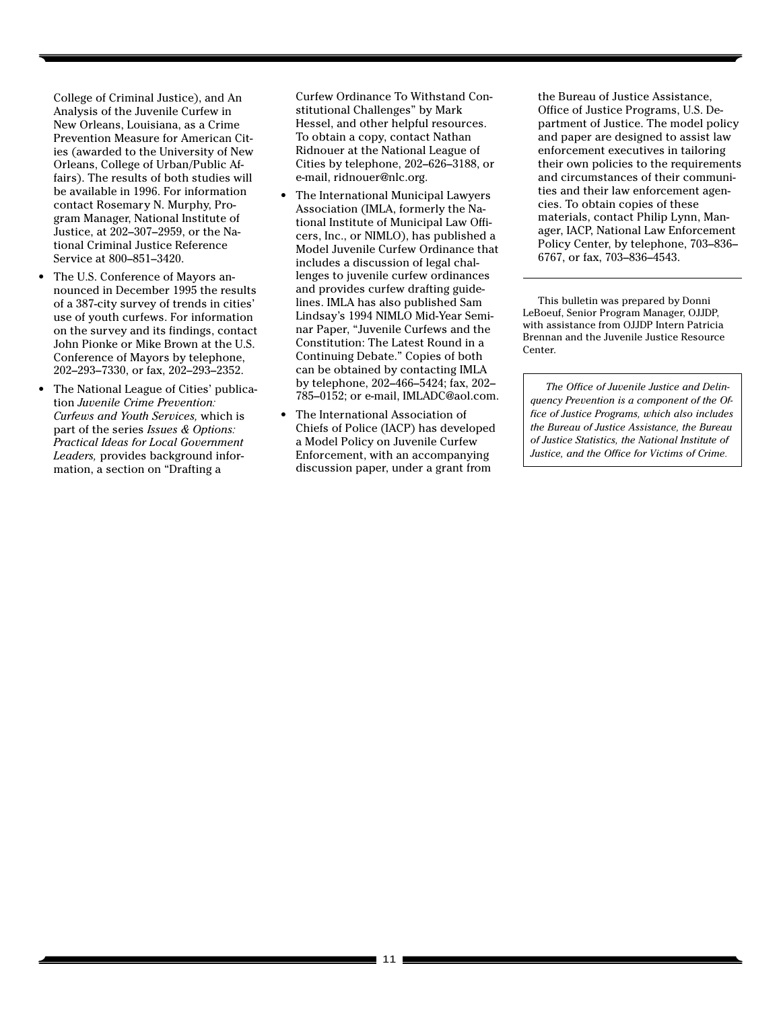College of Criminal Justice), and An Analysis of the Juvenile Curfew in New Orleans, Louisiana, as a Crime Prevention Measure for American Cities (awarded to the University of New Orleans, College of Urban/Public Affairs). The results of both studies will be available in 1996. For information contact Rosemary N. Murphy, Program Manager, National Institute of Justice, at 202–307–2959, or the National Criminal Justice Reference Service at 800–851–3420.

- The U.S. Conference of Mayors announced in December 1995 the results of a 387-city survey of trends in cities' use of youth curfews. For information on the survey and its findings, contact John Pionke or Mike Brown at the U.S. Conference of Mayors by telephone, 202–293–7330, or fax, 202–293–2352.
- The National League of Cities' publication *Juvenile Crime Prevention: Curfews and Youth Services,* which is part of the series *Issues & Options: Practical Ideas for Local Government Leaders,* provides background information, a section on "Drafting a

Curfew Ordinance To Withstand Constitutional Challenges" by Mark Hessel, and other helpful resources. To obtain a copy, contact Nathan Ridnouer at the National League of Cities by telephone, 202–626–3188, or e-mail, ridnouer@nlc.org.

- The International Municipal Lawyers Association (IMLA, formerly the National Institute of Municipal Law Officers, Inc., or NIMLO), has published a Model Juvenile Curfew Ordinance that includes a discussion of legal challenges to juvenile curfew ordinances and provides curfew drafting guidelines. IMLA has also published Sam Lindsay's 1994 NIMLO Mid-Year Seminar Paper, "Juvenile Curfews and the Constitution: The Latest Round in a Continuing Debate." Copies of both can be obtained by contacting IMLA by telephone, 202–466–5424; fax, 202– 785–0152; or e-mail, IMLADC@aol.com.
- The International Association of Chiefs of Police (IACP) has developed a Model Policy on Juvenile Curfew Enforcement, with an accompanying discussion paper, under a grant from

the Bureau of Justice Assistance, Office of Justice Programs, U.S. Department of Justice. The model policy and paper are designed to assist law enforcement executives in tailoring their own policies to the requirements and circumstances of their communities and their law enforcement agencies. To obtain copies of these materials, contact Philip Lynn, Manager, IACP, National Law Enforcement Policy Center, by telephone, 703–836– 6767, or fax, 703–836–4543.

This bulletin was prepared by Donni LeBoeuf, Senior Program Manager, OJJDP, with assistance from OJJDP Intern Patricia Brennan and the Juvenile Justice Resource Center.

*The Office of Juvenile Justice and Delinquency Prevention is a component of the Office of Justice Programs, which also includes the Bureau of Justice Assistance, the Bureau of Justice Statistics, the National Institute of Justice, and the Office for Victims of Crime.*